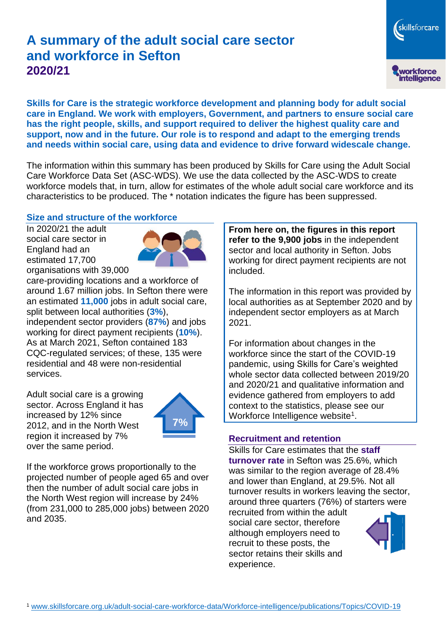# **A summary of the adult social care sector and workforce in Sefton 2020/21**

skillsforcare workforce<br>intelligence

**Skills for Care is the strategic workforce development and planning body for adult social care in England. We work with employers, Government, and partners to ensure social care has the right people, skills, and support required to deliver the highest quality care and support, now and in the future. Our role is to respond and adapt to the emerging trends and needs within social care, using data and evidence to drive forward widescale change.**

The information within this summary has been produced by Skills for Care using the Adult Social Care Workforce Data Set (ASC-WDS). We use the data collected by the ASC-WDS to create workforce models that, in turn, allow for estimates of the whole adult social care workforce and its characteristics to be produced. The \* notation indicates the figure has been suppressed.

#### **Size and structure of the workforce**

In 2020/21 the adult social care sector in England had an estimated 17,700 organisations with 39,000



care-providing locations and a workforce of around 1.67 million jobs. In Sefton there were an estimated **11,000** jobs in adult social care, split between local authorities (**3%**), independent sector providers (**87%**) and jobs working for direct payment recipients (**10%**). As at March 2021, Sefton contained 183 CQC-regulated services; of these, 135 were residential and 48 were non-residential services.

Adult social care is a growing sector. Across England it has increased by 12% since 2012, and in the North West region it increased by 7% over the same period.



If the workforce grows proportionally to the projected number of people aged 65 and over then the number of adult social care jobs in the North West region will increase by 24% (from 231,000 to 285,000 jobs) between 2020 and 2035.

**From here on, the figures in this report refer to the 9,900 jobs** in the independent sector and local authority in Sefton. Jobs working for direct payment recipients are not included.

The information in this report was provided by local authorities as at September 2020 and by independent sector employers as at March 2021.

For information about changes in the workforce since the start of the COVID-19 pandemic, using Skills for Care's weighted whole sector data collected between 2019/20 and 2020/21 and qualitative information and evidence gathered from employers to add context to the statistics, please see our Workforce Intelligence website<sup>1</sup>.

#### **Recruitment and retention**

Skills for Care estimates that the **staff turnover rate** in Sefton was 25.6%, which was similar to the region average of 28.4% and lower than England, at 29.5%. Not all turnover results in workers leaving the sector, around three quarters (76%) of starters were

recruited from within the adult social care sector, therefore although employers need to recruit to these posts, the sector retains their skills and experience.

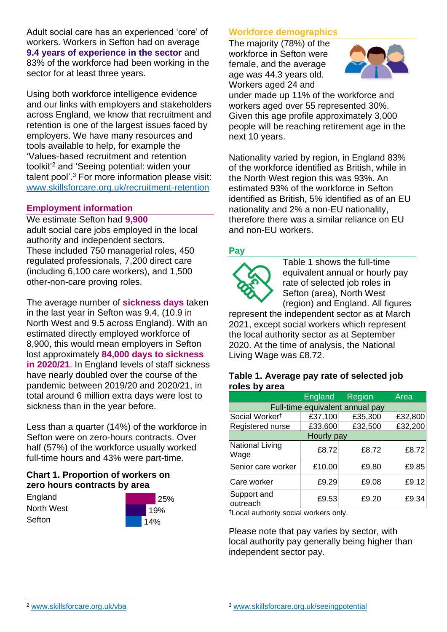Adult social care has an experienced 'core' of workers. Workers in Sefton had on average **9.4 years of experience in the sector** and 83% of the workforce had been working in the sector for at least three years.

Using both workforce intelligence evidence and our links with employers and stakeholders across England, we know that recruitment and retention is one of the largest issues faced by employers. We have many resources and tools available to help, for example the 'Values-based recruitment and retention toolkit'<sup>2</sup> and 'Seeing potential: widen your talent pool'. <sup>3</sup> For more information please visit: [www.skillsforcare.org.uk/recruitment-retention](http://www.skillsforcare.org.uk/recruitment-retention)

### **Employment information**

We estimate Sefton had **9,900** adult social care jobs employed in the local authority and independent sectors. These included 750 managerial roles, 450 regulated professionals, 7,200 direct care (including 6,100 care workers), and 1,500 other-non-care proving roles.

The average number of **sickness days** taken in the last year in Sefton was 9.4, (10.9 in North West and 9.5 across England). With an estimated directly employed workforce of 8,900, this would mean employers in Sefton lost approximately **84,000 days to sickness in 2020/21**. In England levels of staff sickness have nearly doubled over the course of the pandemic between 2019/20 and 2020/21, in total around 6 million extra days were lost to sickness than in the year before.

Less than a quarter (14%) of the workforce in Sefton were on zero-hours contracts. Over half (57%) of the workforce usually worked full-time hours and 43% were part-time.

### **Chart 1. Proportion of workers on zero hours contracts by area**

**England** North West **Sefton** 



## **Workforce demographics**

The majority (78%) of the workforce in Sefton were female, and the average age was 44.3 years old. Workers aged 24 and



under made up 11% of the workforce and workers aged over 55 represented 30%. Given this age profile approximately 3,000 people will be reaching retirement age in the next 10 years.

Nationality varied by region, in England 83% of the workforce identified as British, while in the North West region this was 93%. An estimated 93% of the workforce in Sefton identified as British, 5% identified as of an EU nationality and 2% a non-EU nationality, therefore there was a similar reliance on EU and non-EU workers.

### **Pay**



Table 1 shows the full-time equivalent annual or hourly pay rate of selected job roles in Sefton (area), North West (region) and England. All figures

represent the independent sector as at March 2021, except social workers which represent the local authority sector as at September 2020. At the time of analysis, the National Living Wage was £8.72.

#### **Table 1. Average pay rate of selected job roles by area**

|                                 | <b>England</b> | Region  | Area    |
|---------------------------------|----------------|---------|---------|
| Full-time equivalent annual pay |                |         |         |
| Social Worker <sup>t</sup>      | £37,100        | £35,300 | £32,800 |
| Registered nurse                | £33,600        | £32,500 | £32,200 |
| Hourly pay                      |                |         |         |
| National Living<br>Wage         | £8.72          | £8.72   | £8.72   |
| Senior care worker              | £10.00         | £9.80   | £9.85   |
| Care worker                     | £9.29          | £9.08   | £9.12   |
| Support and<br>outreach         | £9.53          | £9.20   | £9.34   |

†Local authority social workers only.

Please note that pay varies by sector, with local authority pay generally being higher than independent sector pay.

[www.skillsforcare.org.uk/vba](http://www.skillsforcare.org.uk/vba)